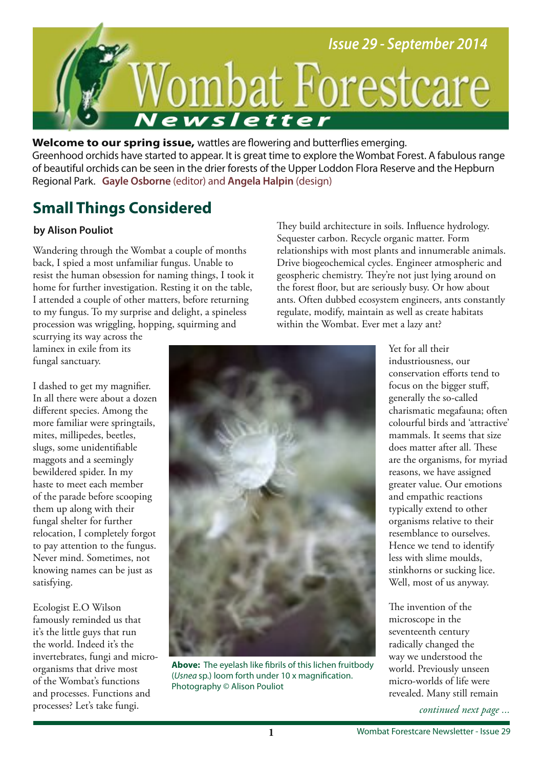

**Welcome to our spring issue,** wattles are fowering and butterfies emerging. Greenhood orchids have started to appear. It is great time to explore the Wombat Forest. A fabulous range of beautiful orchids can be seen in the drier forests of the Upper Loddon Flora Reserve and the Hepburn Regional Park. **Gayle Osborne** (editor) and **Angela Halpin** (design)

# **Small Things Considered**

### **by Alison Pouliot**

Wandering through the Wombat a couple of months back, I spied a most unfamiliar fungus. Unable to resist the human obsession for naming things, I took it home for further investigation. Resting it on the table, I attended a couple of other matters, before returning to my fungus. To my surprise and delight, a spineless procession was wriggling, hopping, squirming and

They build architecture in soils. Influence hydrology. Sequester carbon. Recycle organic matter. Form relationships with most plants and innumerable animals. Drive biogeochemical cycles. Engineer atmospheric and geospheric chemistry. They're not just lying around on the forest foor, but are seriously busy. Or how about ants. Often dubbed ecosystem engineers, ants constantly regulate, modify, maintain as well as create habitats within the Wombat. Ever met a lazy ant?

scurrying its way across the laminex in exile from its fungal sanctuary.

I dashed to get my magnifer. In all there were about a dozen diferent species. Among the more familiar were springtails, mites, millipedes, beetles, slugs, some unidentifable maggots and a seemingly bewildered spider. In my haste to meet each member of the parade before scooping them up along with their fungal shelter for further relocation, I completely forgot to pay attention to the fungus. Never mind. Sometimes, not knowing names can be just as satisfying.

Ecologist E.O Wilson famously reminded us that it's the little guys that run the world. Indeed it's the invertebrates, fungi and microorganisms that drive most of the Wombat's functions and processes. Functions and processes? Let's take fungi.



**Above:** The eyelash like fbrils of this lichen fruitbody (Usnea sp.) loom forth under 10 x magnifcation. Photography © Alison Pouliot

Yet for all their industriousness, our conservation eforts tend to focus on the bigger stuf, generally the so-called charismatic megafauna; often colourful birds and 'attractive' mammals. It seems that size does matter after all. These are the organisms, for myriad reasons, we have assigned greater value. Our emotions and empathic reactions typically extend to other organisms relative to their resemblance to ourselves. Hence we tend to identify less with slime moulds, stinkhorns or sucking lice. Well, most of us anyway.

The invention of the microscope in the seventeenth century radically changed the way we understood the world. Previously unseen micro-worlds of life were revealed. Many still remain

*continued next page ...*